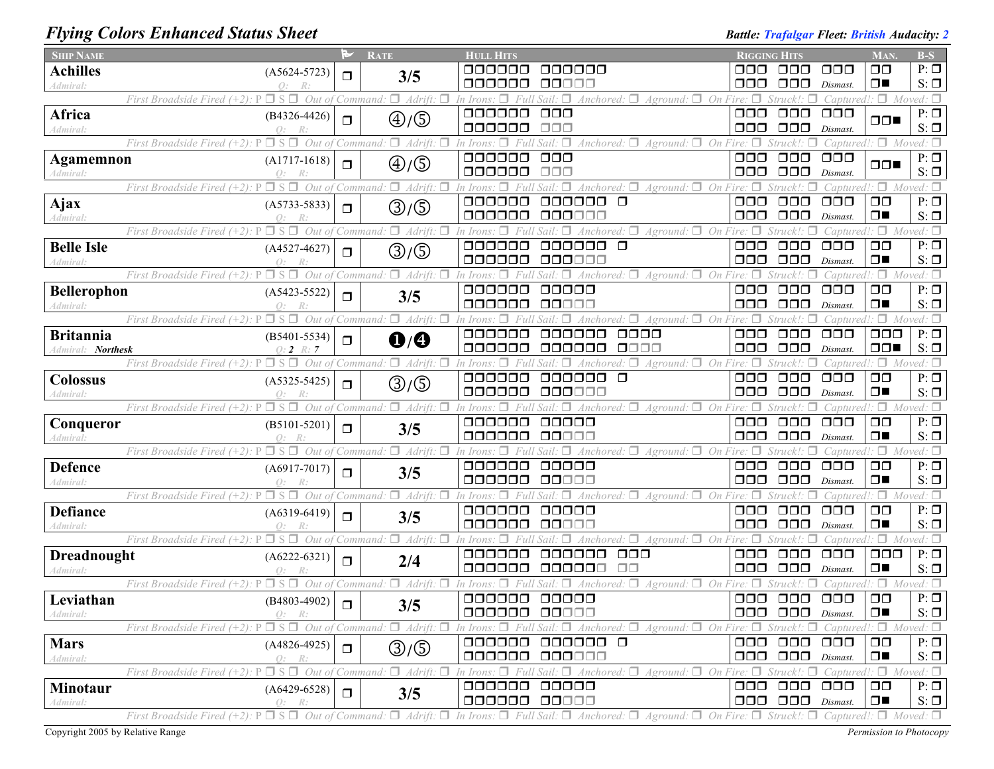# *Flying Colors Enhanced Status Sheet Battle: Battle: Trafalgar Fleet: British Audacity: 2 Battle: Trafalgar Fleet: British Audacity: 2*

| <b>SHIP NAME</b>             |                                                                        | ⋗      | <b>RATE</b>                        | <b>HULL HITS</b>                                                                                                                                                                                                      |                                 | <b>RIGGING HITS</b>                                     |                                   | <b>MAN</b>                         | $B-S$                  |
|------------------------------|------------------------------------------------------------------------|--------|------------------------------------|-----------------------------------------------------------------------------------------------------------------------------------------------------------------------------------------------------------------------|---------------------------------|---------------------------------------------------------|-----------------------------------|------------------------------------|------------------------|
| <b>Achilles</b>              | $(A5624-5723)$                                                         | $\Box$ | 3/5                                | 000000<br>000000                                                                                                                                                                                                      | □□□                             | $\Box$ $\Box$                                           | $\Box$ $\Box$                     | $\Box$ $\Box$                      | $P: \Box$              |
| Admiral:                     | R:                                                                     |        |                                    | 000000<br>00000                                                                                                                                                                                                       | 000                             | $\Box$ $\Box$                                           | Dismast.                          | $\Box$                             | $S: \Box$              |
|                              | $\Box$ S $\Box$<br>Out of<br>First Broadside Fired                     |        | $\Box$ Adrift:<br>□<br>Command     | $Aground:$ $\Box$ On Fire: $\Box$<br>$Sail: \Box$<br>$\forall$ Anchored: $\Box$<br>In Irons.                                                                                                                          |                                 | Struck!:<br>$\Box$                                      | Captured!                         | $\Box$ Moved: $\Box$               |                        |
| Africa                       | $(B4326 - 4426)$                                                       | $\Box$ | $\bigoplus/\bigoplus$              | 000000<br>$\Box$ $\Box$<br>000000<br>$\Box$ Box                                                                                                                                                                       | $\Box$ $\Box$<br>$\Box$ $\Box$  | $\Box\Box\Box$<br>$\Box \Box \Box$                      | $\Box$ $\Box$ $\Box$              | $\Box$                             | $P: \Box$<br>$S: \Box$ |
| Admiral:                     | $Q$ :<br>R:<br>$\Box$ S $\Box$<br>Out of                               |        | $\Box$ Adrift:<br>Ω                | $\forall$ Anchored: $\Box$<br>Aground:<br>In Irons<br>□                                                                                                                                                               | On<br>$Fire: \Box$              | Struck!:                                                | Dismast.                          | $\Box$ Moved: $\Box$               |                        |
|                              | First Broadside Fired $(+2)$ : P                                       |        | 'Command:                          | Sail.<br>000000<br>$\Box$ $\Box$ $\Box$                                                                                                                                                                               | $\Box$ $\Box$                   | $\Box$ $\Box$                                           | Captured!<br>$\Box$ $\Box$ $\Box$ |                                    | $P: \Box$              |
| <b>Agamemnon</b><br>Admiral: | $(A1717-1618)$<br>$Q$ :<br>R:                                          | $\Box$ | $\textcircled{4}/\textcircled{5}$  | 000000<br>$\Box$ $\Box$                                                                                                                                                                                               | 000                             | $\Box \Box \Box$                                        | Dismast.                          | $\Box \Box$                        | $S: \Box$              |
|                              | $\Box$ S $\Box$<br>First Broadside Fired (+2).<br>Out of               |        | $\Box$ Adrift.<br>Command          | n Irons<br>Anchored.<br>Aground:                                                                                                                                                                                      | On                              | Struck!                                                 | Captured                          | $\Box$ Moved: $\Box$               |                        |
| Ajax                         | $(A5733 - 5833)$                                                       |        |                                    | 000000<br>ooooo o                                                                                                                                                                                                     | $\Box$ $\Box$                   | $\Box$ $\Box$                                           | $\Box$ $\Box$                     | $\Box$ $\Box$                      | $P: \Box$              |
| Admiral:                     | $\theta$ :                                                             | $\Box$ | ③/⑤                                | 000000<br>000000                                                                                                                                                                                                      | $\Box$ $\Box$                   | $\Box$ $\Box$ $\Box$                                    | Dismast.                          | $\Box$                             | $S: \Box$              |
|                              | $\Box$ S $\Box$<br>Out of<br>First Broadside Fired $(+2)$ :            |        | $\Box$ Adrift:<br>Command          | Anchored: $\Box$<br>Aground:<br>'n Iron                                                                                                                                                                               | On<br>$Fire: \Box$              | Struck!:                                                | Captured!                         | $\Box$                             | Moved: $\square$       |
| <b>Belle Isle</b>            | $(A4527-4627)$                                                         | $\Box$ | ③/⑤                                | 000000<br>$\Box$<br>000000                                                                                                                                                                                            | $\Box$ $\Box$                   | $\Box$ $\Box$                                           | $\Box$ $\Box$                     | $\Box$ Box                         | $P: \Box$              |
| Admiral:                     |                                                                        |        |                                    | 000000<br>000000                                                                                                                                                                                                      | 000                             | $\Box$ $\Box$ $\Box$                                    | Dismast.                          | $\Box$                             | $S: \Box$              |
|                              | First Broadside Fired (+2): P<br>$\Box$ S $\Box$<br>Out of             |        | $\Box$ Adrift:<br>Command          | Anchored: $\Box$<br>$A$ ground: $\Box$<br>n Irons<br>П                                                                                                                                                                | On                              | Struck!:                                                | Capturec                          | $\Box$                             | Moved: $\Box$          |
| <b>Bellerophon</b>           | $(A5423 - 5522)$                                                       | $\Box$ | 3/5                                | 000000<br>00000                                                                                                                                                                                                       | $\Box \Box \Box$                | $\Box$ $\Box$ $\Box$                                    | $\Box$ $\Box$                     | $\Box$ $\Box$                      | $P: \Box$              |
| Admiral:                     | $\Omega$ :                                                             |        |                                    | 000000<br>QQQ00                                                                                                                                                                                                       | $\Box \Box \Box$                | $\Box$ $\Box$ $\Box$                                    | Dismast                           | $\Box$                             | $S: \Box$              |
|                              | Out of<br>First Broadside Fired (+2).                                  |        | $\Box$ Adrift.<br>п<br>'Command    | Aground:<br>In Irons                                                                                                                                                                                                  | On                              | Struck!:                                                | Captured!                         | Π.                                 | Moved: $\square$       |
| <b>Britannia</b>             | $(B5401 - 5534)$                                                       | $\Box$ | $\mathbf{0}/\mathbf{0}$            | 000000<br>$\Box\Box\Box\Box$<br>ooooo                                                                                                                                                                                 | $\Box$ $\Box$                   | $\Box$ $\Box$ $\Box$                                    | $\Box$ $\Box$                     | $\Box \Box \Box$                   | $P: \Box$              |
| <b>Northesk</b><br>Admiral:  | $0:2 \; R:7$                                                           |        |                                    | 000000<br>0000<br>000000                                                                                                                                                                                              | $\Box$ $\Box$                   | $\Box$ $\Box$ $\Box$                                    | Dismast.                          | $\Box \Box$                        | $S: \Box$              |
|                              | Out of Command:<br>First Broadside Fired (+2): P<br>$\Box$ S $\Box$    |        | $\Box$ Adrift: $\Box$              | $Aground:$ $\Box$ On Fire: $\Box$<br>Anchored: $\square$<br>In Irons<br>000000<br>000000<br>$\Box$                                                                                                                    | $\Box$ $\Box$                   | Struck!:<br>$\Box$ $\Box$                               | Captured!<br>$\Box$ $\Box$        | $\Box$ Moved: $\Box$<br>$\Box$ Box | $P: \Box$              |
| <b>Colossus</b><br>Admiral:  | $(A5325-5425)$<br>Q:                                                   | $\Box$ | $\textcircled{3}/\textcircled{5}$  | 000000<br>000000                                                                                                                                                                                                      | $\Box$ $\Box$                   | $\Box$ $\Box$                                           | Dismast.                          | $\Box$                             | $S: \Box$              |
|                              | □S□<br>Out of<br>First Broadside Fired (+2):                           |        | $\Box$ Adrift:<br>'Command:        | Anchored: $\Box$ Aground: $\Box$ On Fire: $\Box$<br>п<br>In Irons                                                                                                                                                     |                                 | $Struck!$ : $\Box$                                      | Captured!                         | $\Box$ Moved: $\Box$               |                        |
| Conqueror                    | $(B5101-5201)$                                                         |        |                                    | 000000<br>00000                                                                                                                                                                                                       | $\Box$ $\Box$                   | $\Box$ $\Box$                                           | $\Box$ $\Box$                     | $\Box$ $\Box$                      | $P: \Box$              |
| Admiral:                     | $Q$ :                                                                  | $\Box$ | 3/5                                | 000000<br>00000                                                                                                                                                                                                       | $\Box \Box \Box$                | $\Box$ $\Box$ $\Box$                                    | Dismast.                          | $\Box$                             | $S: \Box$              |
|                              | $\square$ s $\square$<br>First Broadside Fired $(+2)$ :<br>Out of<br>P |        | $\Box$ Adrift:<br>Command:         | Anchored: $\Box$<br>$A$ ground: $\Box$<br>In Irons<br>Sail                                                                                                                                                            | On                              | Struck!:                                                | Captured!                         | $\Box$ Moved: $\Box$               |                        |
| <b>Defence</b>               | $(A6917-7017)$                                                         | $\Box$ | 3/5                                | 000000<br>00000                                                                                                                                                                                                       | $\Box$ $\Box$                   | $\Box$ $\Box$                                           | $\Box$ $\Box$                     | $\Box$ $\Box$                      | $P: \Box$              |
| Admiral:                     | $\Omega$ :                                                             |        |                                    | 000000<br>00000                                                                                                                                                                                                       | $\Box$ $\Box$                   | $\Box$ $\Box$                                           | Dismast.                          | $\Box$                             | $S: \Box$              |
|                              | $\Box$ S $\Box$<br>Out of<br>First Broadside Fired $(+2)$ : P          |        | $\Box$ Adrift: $\Box$<br>`Command: | Anchored: $\Box$ Aground: $\Box$ On Fire:<br>In Irons<br>П                                                                                                                                                            |                                 | Struck!                                                 | Captured.                         | $\Box$ Moved: $\Box$               |                        |
| <b>Defiance</b>              | $(A6319-6419)$                                                         | $\Box$ | 3/5                                | 000000<br>00000                                                                                                                                                                                                       | $\Box$ $\Box$                   | $\Box$ $\Box$                                           | $\Box$ $\Box$                     | $\Box$ $\Box$                      | $P: \Box$              |
| Admiral:                     | $\Omega$ :                                                             |        |                                    | 000000<br>00000                                                                                                                                                                                                       | $\Box$ $\Box$                   | $\Box$ $\Box$                                           | Dismast.                          | $\Box$                             | $S: \Box$              |
|                              | $\Box$ S $\Box$<br>Out of<br>First Broadside Fired (+2):               |        | $\Box$ Adrift: $\Box$<br>'Command: | $Aground:$ $\Box$ On Fire: $\Box$<br>Anchored: $\Box$<br>In Irons                                                                                                                                                     |                                 | Struck!: $\Box$                                         | Captured!                         | $\Box$ Moved: $\Box$               |                        |
| Dreadnought                  | $(A6222-6321)$                                                         | $\Box$ | 2/4                                | 000000<br>000000<br>$\Box$ $\Box$<br>000000<br>000000<br>ПП                                                                                                                                                           | $\Box\Box\Box$<br>$\Box$ $\Box$ | $\Box$ $\Box$ $\Box$<br>$\Box$ $\Box$ $\Box$            | $\Box$ $\Box$                     | $\Box\Box\Box$<br>$\Box$           | $P: \Box$<br>$S: \Box$ |
| Admiral:                     | O:<br>R:<br>First Broadside Fired (+2):<br>Out of<br>$\Box$ S $\Box$   |        | $\Box$ Adrift: $\Box$              | $\forall$ Anchored: $\Box$<br>$Aground:$ $\Box$ On Fire: $\Box$<br>In Irons                                                                                                                                           |                                 | Struck!:                                                | Dismast.<br>Capturea              | $\Box$ Moved: $\Box$               |                        |
| Leviathan                    |                                                                        |        | Command:                           | 000000<br>00000                                                                                                                                                                                                       | $\Box$ $\Box$                   | $\Box$ $\Box$                                           | $\Box$ $\Box$                     | $\Box$ $\Box$                      | $P: \Box$              |
| Admiral:                     | $(B4803 - 4902)$<br>R:                                                 | $\Box$ | 3/5                                | 000000 00000                                                                                                                                                                                                          |                                 | $\Box$ $\Box$ $\Box$ $\Box$ $\Box$ $\Box$ $\Box$ $\Box$ |                                   | $\square$<br>$\blacksquare$        | $S: \Box$              |
|                              | $\Box$ S $\Box$ Out of Command:<br>First Broadside Fired $(+2)$ : P    |        | $\Box$ Adrift.                     | In Irons: $\Box$ Full Sail: $\Box$ Anchored: $\Box$ Aground: $\Box$                                                                                                                                                   | On Fire: $\Box$                 | $Struck!$ : $\Box$                                      |                                   | Captured!: $\Box$ Moved: $\Box$    |                        |
| <b>Mars</b>                  | $(A4826-4925)$                                                         |        |                                    | 000000<br>000000 0                                                                                                                                                                                                    |                                 | 000 000                                                 | $\Box$ $\Box$                     | $\Box$                             | $P: \Box$              |
| Admiral:                     | $Q$ :<br>R:                                                            | $\Box$ | ③/⑤                                | 000000<br>000000                                                                                                                                                                                                      |                                 | $\Box$ $\Box$ $\Box$ $\Box$ $Dismast$ .                 |                                   | $\Box$                             | $S: \Box$              |
|                              | $\Box$ S $\Box$ Out of Command:<br>First Broadside Fired (+2): P       |        | $\Box$ Adrift: $\Box$              | In Irons: $\Box$ Full Sail: $\Box$ Anchored: $\Box$ Aground: $\Box$ On Fire: $\Box$ Struck!: $\Box$ Captured!: $\Box$ Moved: $\Box$                                                                                   |                                 |                                                         |                                   |                                    |                        |
| Minotaur                     | $(A6429-6528)$                                                         | $\Box$ |                                    | 000000 00000                                                                                                                                                                                                          |                                 | 000 000                                                 | $\Box$ $\Box$                     | $\Box$ $\Box$                      | $P: \Box$              |
| Admiral:                     | $O$ :                                                                  |        | 3/5                                | 000000 00000                                                                                                                                                                                                          |                                 | $\Box$ $\Box$ $\Box$ $\Box$ $\Box$ $\Box$ $\Box$ $\Box$ |                                   | $\Box$                             | $S: \Box$              |
|                              |                                                                        |        |                                    | First Broadside Fired (+2): $P \Box S \Box$ Out of Command: $\Box$ Adrift: $\Box$ In Irons: $\Box$ Full Sail: $\Box$ Anchored: $\Box$ Aground: $\Box$ On Fire: $\Box$ Struck!: $\Box$ Captured!: $\Box$ Moved: $\Box$ |                                 |                                                         |                                   |                                    |                        |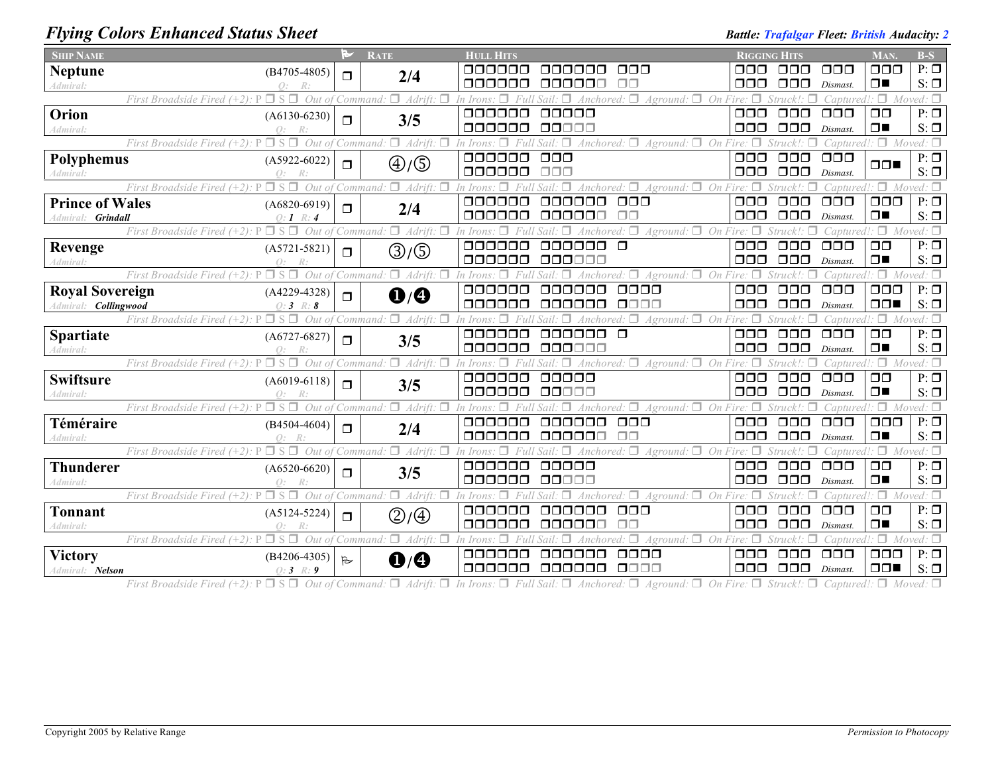### *Flying Colors Enhanced Status Sheet Battle: Trafalgar Fleet: British Audacity: 2 Battle: Trafalgar Fleet: British Audacity: 2*

| <b>SHIP NAME</b>               |                                                                              | a,           | <b>RATE</b>                       | <b>HULL HITS</b>                               |                                                       | <b>RIGGING HITS</b>                                           |                                   | <b>MAN</b>                      | $B-S$                  |
|--------------------------------|------------------------------------------------------------------------------|--------------|-----------------------------------|------------------------------------------------|-------------------------------------------------------|---------------------------------------------------------------|-----------------------------------|---------------------------------|------------------------|
| <b>Neptune</b>                 | $(B4705-4805)$                                                               | $\Box$       | 2/4                               | 888888<br><u>oooooo</u>                        | OOO                                                   | OOO<br>OOO                                                    | OOO                               | 000                             | $P: \Box$              |
| <i><u><b>Admiral</b></u></i> : | $\Omega$ :                                                                   |              |                                   | 000000<br>000000                               | $\Box$ $\Box$                                         | $\Box$ $\Box$<br>OOO                                          | Dismast.                          | $\Box$                          | $S: \Box$              |
|                                | $\Box$ S $\Box$<br>First Broadside Fired $(+2)$ : P<br>Out of Command:       |              | $\Box$ Adrift: $\Box$             | In Irons                                       | Anchored: $\Box$<br>$Aground:$ $\Box$ On Fire:        |                                                               | aptured!                          | $\Box$ Moved: $\Box$            |                        |
| Orion                          | $(A6130-6230)$                                                               | $\Box$       | 3/5                               | 000000<br>ooooo                                |                                                       | $\Box \Box \Box$<br>$\Box \Box \Box$                          | 000                               | $\Box$ $\Box$                   | $P: \Box$              |
| Admiral:                       | $\Omega$ :                                                                   |              |                                   | 000000<br>00000                                |                                                       | nnn<br>000                                                    | Dismast.                          | $\Box$                          | $S: \Box$              |
|                                | $\square$ S $\square$<br>Out of<br>First Broadside Fired $(+2)$ : P          |              | $\Box$ Adrift:<br>Command         | In Irons<br>п                                  | Anchored: $\Box$ Aground: $\Box$ On Fire: $\Box$      | Struck!                                                       |                                   | Captured!: $\Box$ Moved: $\Box$ |                        |
| Polyphemus                     | $(A5922-6022)$                                                               | $\Box$       | $\textcircled{4}/\textcircled{5}$ | $\Box \Box \Box$<br>000000                     |                                                       | $\Box \Box \Box$<br>000                                       | $\Box$ $\Box$ $\Box$              | $\Box$                          | $P: \Box$              |
| 4dmiral:                       | $\bigcap$ .                                                                  |              |                                   | 000000<br>$\Box \Box \Box$                     |                                                       | $\Box$ $\Box$<br>$\Box \Box \Box$                             | Dismast.                          |                                 | $S: \Box$              |
|                                | $\sqcap$ s<br>Out<br>First Broadside Fired $(+2)$ :                          | Command      | $\Box$ Adrift:                    |                                                | Aground:                                              | $On$ Fire                                                     | aptured!                          | $\Box$ Moved: $\Box$            | $P: \Box$              |
| <b>Prince of Wales</b>         | $(A6820-6919)$                                                               | $\Box$       | 2/4                               | 000000<br>aaaaaa<br>000000<br>000000           | $\Box \Box \Box$                                      | $\Box$ $\Box$<br>$\Box$ $\Box$<br>$\Box$ $\Box$<br>000        | $\Box$ $\Box$<br>Dismast.         | $\Box$ $\Box$<br>$\Box$         | $S: \Box$              |
| Admiral: Grindall              | $Q: I \ R: 4$<br>First Broadside Fired $(+2)$ :<br>Out                       | Command      | п.<br>Adrift.                     |                                                | Aground: $\square$<br>On                              | Struck! ·                                                     | captured!                         | $\Box$                          | Moved: $\Box$          |
|                                |                                                                              |              |                                   | 000000<br>000000                               | $\Box$                                                | $\Box$ $\Box$<br>$\Box$ $\Box$                                | $\Box$ $\Box$ $\Box$              | $\Box$ $\Box$                   | $P: \Box$              |
| Revenge<br>Admiral:            | $(A5721 - 5821)$<br>$\bigcap$ :                                              | $\Box$       | ③/⑤                               | 000000<br>oooooc                               |                                                       | $\Box$ $\Box$<br>$\Box \Box \Box$                             | Dismast.                          | $\Box$                          | $S: \Box$              |
|                                | $\Box$ S $\Box$<br>Out of<br>First Broadside Fired $(+2)$ : P                |              | $\Box$ Adrift:<br>Command         |                                                | $A$ ground: $\Box$ On Fire:                           | tru ck! ·                                                     | 'anturec                          | $\Box$                          | Moved: $\Box$          |
| <b>Royal Sovereign</b>         | $(A4229-4328)$                                                               |              |                                   | 000000<br>ooooo                                | 0000                                                  | $\Box$ $\Box$ $\Box$<br>$\Box$ $\Box$                         | $\Box$ $\Box$                     | $\Box$ $\Box$ $\Box$            | $P: \Box$              |
| Admiral: <b>Collingwood</b>    | $O: 3 \; R: 8$                                                               | $\Box$       | $\mathbf{O}/\mathbf{O}$           | 000000<br>ooooo                                | 0000                                                  | $\Box$ $\Box$<br>$\Box$ $\Box$                                | Dismast.                          | $\Box$                          | $S: \Box$              |
|                                | $\Box$ S $\Box$<br>First Broadside Fired $(+2)$ :<br>Out of                  |              | $\Box$ Adrift:<br>Command:        |                                                | $\Box$ On<br>Aground:                                 |                                                               | 'aptured!                         | $\Box$                          | Moved: $\square$       |
| <b>Spartiate</b>               | $(A6727-6827)$                                                               | $\Box$       |                                   | 000000<br>000000                               | $\Box$                                                | $\Box$ $\Box$<br>000                                          | 000                               | $\Box$ $\Box$                   | $P: \Box$              |
| <i>Admiral</i> :               | $\bigcirc$ :                                                                 |              | 3/5                               | 000000<br>0000000                              |                                                       | $\Box$ $\Box$<br>$\Box \Box \Box$                             | Dismast.                          | $\Box$                          | $S: \Box$              |
|                                | $\Box$ S $\Box$<br>Out of Command.<br>First Broadside Fired $(+2)$ :         |              | $\Box$ Adrift:                    | п<br>In Irons                                  | $Aground:$ $\Box$ On Fire: $\Box$<br>Anchored: $\Box$ | Struck!:                                                      |                                   | Captured!: $\Box$ Moved: $\Box$ |                        |
| <b>Swiftsure</b>               | $(A6019-6118)$                                                               | $\Box$       | 3/5                               | 000000<br>00000                                |                                                       | $\Box$ $\Box$<br>$\Box \Box \Box$                             | 000                               | $\Box$ $\Box$                   | $P: \Box$              |
| Admiral:                       | R:<br>Q:                                                                     |              |                                   | 000000<br>00000                                |                                                       | $\Box \Box \Box$<br>000                                       | Dismast.                          | $\Box$                          | $S: \Box$              |
|                                | $\Box S \Box$<br>Out of<br>First Broadside Fired $(+2)$ :                    |              | $\Box$ Adrift: $\Box$<br>Command: | In Irons                                       | $Aground: \Box$ On Fire: $\Box$                       | Struck!:                                                      | $Control: \Box$                   |                                 | Moved: $\Box$          |
| Téméraire                      | $(B4504-4604)$                                                               | $\Box$       | 2/4                               | 000000<br>aaaaaa                               | $\Box \Box \Box$                                      | $\Box$ $\Box$<br>$\Box$ $\Box$                                | 000                               | $\Box$ $\Box$                   | $P: \Box$              |
| Admiral:                       | $\bigcap$ :                                                                  |              |                                   | 000000<br>000000                               |                                                       | $\Box$ $\Box$<br>nnn                                          | Dismast.                          | $\Box$                          | $S: \Box$              |
|                                | $\Box$ S $\Box$<br>First Broadside Fired $(+2)$ :<br>Out of                  |              | Π.<br>Adrift:<br>Command          | 00000                                          | Anothered:<br>$A$ ground: $\Box$ On Fire:             |                                                               | 'anture                           | $\Box$                          | Moved: $\Box$          |
| <b>Thunderer</b>               | $(A6520-6620)$                                                               | $\Box$       | 3/5                               | 000000<br>000000<br>$\Box \Box \Box \Box \Box$ |                                                       | $\Box$ $\Box$<br>$\Box$ $\Box$<br>ooo<br>$\Box$ $\Box$ $\Box$ | $\Box$ $\Box$                     | $\Box$ $\Box$<br>$\Box$         | $P: \Box$<br>$S: \Box$ |
| Admiral:                       | $\bigcap$ :<br>$\Box$ S $\Box$<br>First Broadside Fired $(+2)$ : P<br>Out of |              | $\Box$ Adrift:                    |                                                | $Aground:$ $\Box$ On Fire: $\Box$                     | Struck!:                                                      | Dismast.                          | $\Box$                          | Moved: $\square$       |
|                                |                                                                              |              | Command:                          | 000000<br>000000                               | $\Box$ $\Box$                                         | $\Box$ $\Box$<br>$\Box$ $\Box$                                | Captured!<br>$\Box$ $\Box$ $\Box$ | $\Box$ $\Box$                   | $P: \Box$              |
| Tonnant<br>Admiral:            | $(A5124-5224)$<br>$\bigcirc$ :                                               | $\Box$       | ②/④                               | 000000<br>000000                               | $\Box \Box$                                           | $\Box$ $\Box$<br>$\Box$ $\Box$                                | Dismast.                          | $\Box$                          | $S: \Box$              |
|                                | Out<br>First Broadside Fired                                                 |              | $\Box$ Adrift.<br>:0mmana         |                                                | Aground:                                              | Struck!:<br>On Fire:                                          | Captured !                        | $\Box$ Moved: $\Box$            |                        |
| <b>Victory</b>                 | $(B4206 - 4305)$                                                             |              |                                   | 000000<br>000000                               | 0000                                                  | $\Box$ $\Box$ $\Box$<br>$\Box$ $\Box$                         | $\Box$ $\Box$ $\Box$              | $\Box$ $\Box$                   | $P: \Box$              |
| Admiral: Nelson                | $Q: 3 \ R: 9$                                                                | $\mathbb{R}$ | $\mathbf{O}/\mathbf{O}$           | 000000<br>000000                               | 8888                                                  | $\Box$ $\Box$<br>$\Box$ Box                                   | Dismast.                          | $\Box$                          | $S: \Box$              |

First Broadside Fired (+2):  $P \Box S \Box$  Out of Command:  $\Box$  Adrift:  $\Box$  In Irons:  $\Box$  Full Sail:  $\Box$  Anchored:  $\Box$  Aground:  $\Box$  On Fire:  $\Box$  Struck!:  $\Box$  Captured!:  $\Box$  Moved:  $\Box$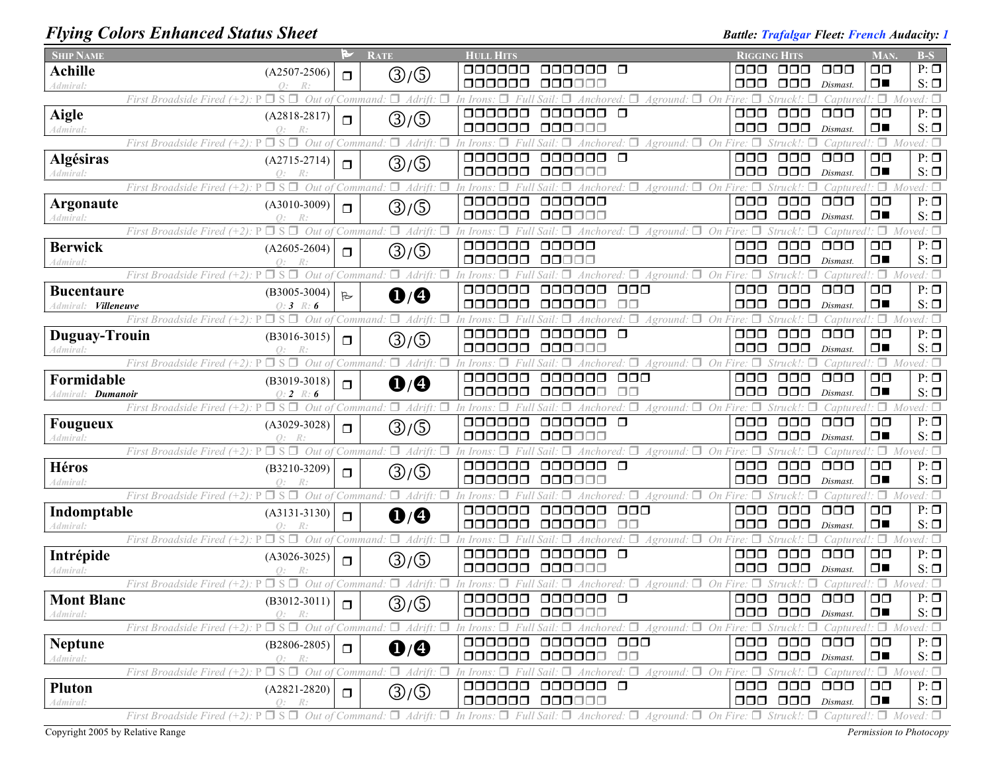# *Flying Colors Enhanced Status Sheet Battle: Trafalgar Fleet: French Audacity: 1*

| <b>SHIP NAME</b>                                                                                          |                                          | M         | <b>RATE</b>                       | <b>HULL HITS</b>        |                                                                                                                                     |                                | RIGGING HITS                                             |                                                                 | <b>MAN</b>                               | $B-S$                         |
|-----------------------------------------------------------------------------------------------------------|------------------------------------------|-----------|-----------------------------------|-------------------------|-------------------------------------------------------------------------------------------------------------------------------------|--------------------------------|----------------------------------------------------------|-----------------------------------------------------------------|------------------------------------------|-------------------------------|
| <b>Achille</b>                                                                                            | $(A2507-2506)$                           | $\Box$    | $\textcircled{3}/\textcircled{5}$ | 000000                  | 000000<br>$\Box$                                                                                                                    | OOO                            | $\Box \Box \Box$                                         | $\Box$ $\Box$                                                   | $\Box$ $\Box$                            | $P: \Box$                     |
| Admiral:                                                                                                  | $Q$ :<br>R:                              |           |                                   | 000000                  | 00000C                                                                                                                              | 000                            | $\Box$ $\Box$                                            | Dismast.                                                        | $\Box$                                   | $S: \Box$                     |
| First Broadside Fired (+2)                                                                                | $S \Box$<br>Out of                       |           | $\Box$ Adrift.<br>Command.        | In Irons                | $\Box$<br>o<br>Anchored.<br>Aground:                                                                                                | On Fire: $\Box$                |                                                          | Captured!                                                       | $\Box$                                   | Moved: $\square$              |
| <b>Aigle</b>                                                                                              | $(A2818-2817)$                           | $\Box$    | $\textcircled{3}/\textcircled{5}$ | 000000<br>000000        | 000000<br>$\Box$                                                                                                                    | $\Box$ $\Box$                  | $\Box$ $\Box$                                            | $\Box$ $\Box$ $\Box$                                            | $\Box$ $\Box$<br>$\Box$                  | $P: \Box$                     |
| Admiral:<br>First Broadside Fired $(+2)$ :<br>P                                                           | $O$ :<br>R:<br>$\Box$ S $\Box$<br>Out of |           | $\Box$ Adrift.                    | In Irons                | 000000<br>$A$ ground: $\Box$<br>On                                                                                                  | 000<br>$Fire: \Box$            | $\Box$ $\Box$<br>Struck!                                 | Dismast.                                                        | $\Box$                                   | $S: \Box$<br>$Moved: \Box$    |
|                                                                                                           |                                          |           | Command.                          | 000000                  | 000000<br>$\Box$                                                                                                                    | $\Box$ $\Box$                  | $\Box$ $\Box$                                            | Captured!<br>$\Box$ $\Box$                                      | $\Box$ $\Box$                            | $P: \Box$                     |
| Algésiras<br>Admiral:                                                                                     | $(A2715-2714)$<br>$Q$ :<br>R:            | $\Box$    | ③/⑤                               | 000000                  | 000000                                                                                                                              | $\Box$ $\Box$                  | $\Box$ $\Box$                                            | Dismast.                                                        | $\Box$                                   | $S: \Box$                     |
| First Broadside Fired (+2):                                                                               | П.<br>$\Box$ S<br>Out of                 |           | п.<br>Adrift.<br>command          |                         | $\Box$ On<br>Aground:                                                                                                               |                                |                                                          | aptured.                                                        | Π.                                       | Moved: $\square$              |
| Argonaute                                                                                                 | $(A3010-3009)$                           |           |                                   | 000000                  | 000000                                                                                                                              | $\Box$ $\Box$                  | $\Box$ $\Box$                                            | $\Box$ $\Box$                                                   | $\Box$ $\Box$                            | $P: \Box$                     |
| Admiral:                                                                                                  |                                          | $\Box$    | ③/⑤                               | 000000                  | 000000                                                                                                                              | $\Box \Box \Box$               | $\Box \Box \Box$                                         | Dismast.                                                        | $\Box$                                   | $S: \Box$                     |
| First Broadside Fired (+2):                                                                               | $\Box$ S $\Box$<br>Out of                | Command   | $\Box$ Adrift.<br>п               | In Irons                | Sail: $\Box$ Anchored: $\Box$<br>$A$ ground: $\Box$ On Fire:                                                                        | □                              | Struck!:                                                 | Captured!                                                       | $\Box$                                   | Moved: $\Box$                 |
| <b>Berwick</b>                                                                                            | $(A2605-2604)$                           | $\Box$    |                                   | 000000                  | 00000                                                                                                                               | $\Box$ $\Box$                  | $\Box$ $\Box$                                            | $\Box$ $\Box$                                                   | $\Box$                                   | $P: \Box$                     |
| Admiral:                                                                                                  | $\bigcap$ :<br>R                         |           | ③/⑤                               | 000000                  | 00000                                                                                                                               | $\Box$ $\Box$                  | $\Box$ $\Box$                                            | Dismast.                                                        | $\Box$                                   | $S: \Box$                     |
| $\square$ S<br>First Broadside Fired (+2):                                                                | Out                                      |           | $\Box$ Adrift.<br>Command.        | 'n Iron.                | $A$ ground: $\Box$<br>On<br>Anchored:                                                                                               |                                | Struck!:                                                 | Captured!                                                       | $\cdot$ $\Box$                           | Moved: $\Box$                 |
| <b>Bucentaure</b>                                                                                         | $(B3005-3004)$                           | $\approx$ | $\mathbf{0}/\mathbf{0}$           | 000000                  | $\Box \Box \Box$<br>000000                                                                                                          | $\Box$ $\Box$                  | $\Box$ $\Box$                                            | $\Box$ $\Box$                                                   | $\square$                                | $P: \Box$                     |
| <b>Villeneuve</b><br>Admiral:                                                                             | $0:3 \; R:6$                             |           |                                   | 000000                  | ⊓⊓<br>000000                                                                                                                        | ooo                            | $\Box$ $\Box$                                            | Dismast.                                                        | $\Box$                                   | $S: \Box$                     |
| First Broadside Fired (+2):                                                                               | Out                                      |           | $\Box$<br>Adrift.<br>Command.     |                         | $A$ ground: $\Box$ On Fire:                                                                                                         |                                |                                                          | :aptured!:                                                      | 0.                                       | Moved: $\Box$                 |
| Duguay-Trouin                                                                                             | $(B3016-3015)$                           | $\Box$    | ③/⑤                               | 000000                  | 000000<br>$\Box$                                                                                                                    | $\Box$ $\Box$                  | $\Box$ $\Box$                                            | $\Box$ $\Box$                                                   | $\square$                                | $P: \Box$                     |
| Admiral:                                                                                                  | $\bigcap$ :                              |           |                                   | 000000                  | 000000                                                                                                                              | $\Box \Box \Box$               | $\Box$ $\Box$                                            | Dismast.                                                        | $\Box$                                   | $S: \Box$                     |
| First Broadside Fired (+2):<br>$\square$ S                                                                | $\Box$<br>Out of                         |           | $\Box$ Adrift.<br>п<br>Command.   | п<br>In Irons<br>000000 | ∩.<br>$Aground:$ $\Box$ On Fire: $\Box$<br>aaaaaa                                                                                   |                                | Struck!:<br>п                                            | $Captured$ :                                                    |                                          | Moved: $\square$<br>$P: \Box$ |
| Formidable                                                                                                | $(B3019-3018)$                           | $\Box$    | $\mathbf{0}/\mathbf{0}$           | 000000                  | $\Box \Box \Box$<br>$\square$ $\square$<br>000000                                                                                   | $\Box$ $\Box$<br>$\Box$ $\Box$ | $\Box$ $\Box$<br>$\Box$ $\Box$                           | $\Box$ $\Box$<br>Dismast.                                       | $\square$<br>$\Box$                      | $S: \Box$                     |
| Admiral: <b>Dumanoir</b><br>First Broadside Fired $(+2)$ : P $\Box$ S $\Box$                              | $0: 2 \; R: 6$<br>Out of                 |           | $\Box$ Adrift:<br>Command:        | In Irons                | $Aground:$ $\Box$ On Fire: $\Box$<br>$\Box$<br>Anchored:                                                                            |                                | Struck!:                                                 | Captured!                                                       | ۰۵۰                                      | Moved: $\square$              |
|                                                                                                           |                                          |           |                                   | 000000                  | 000000<br>$\Box$                                                                                                                    | $\Box$ $\Box$                  | $\Box\Box\Box$                                           | $\Box$ $\Box$                                                   | $\Box$ $\Box$                            | $P: \Box$                     |
| <b>Fougueux</b><br>Admiral:                                                                               | $(A3029-3028)$<br>$Q$ :                  | $\Box$    | ③/⑤                               | 000000                  | 000000                                                                                                                              | $\Box \Box \Box$               | $\Box$ $\Box$                                            | Dismast.                                                        | $\Box$                                   | $S: \Box$                     |
| First Broadside Fired $(+2)$ : P                                                                          | $\Box$ S $\Box$<br>Out of                |           | $\Box$ Adrift:<br>□<br>Command.   | In Irons.               | $Aground:$ $\Box$ On Fire: $\Box$<br>Sail:<br>Anchored:                                                                             |                                | Struck!:                                                 | Captured!                                                       |                                          | $\Box$ Moved: $\Box$          |
| Héros                                                                                                     | $(B3210-3209)$                           |           |                                   | 000000                  | 000000<br>$\Box$                                                                                                                    | $\Box \Box \Box$               | $\Box$ $\Box$                                            | $\Box$ $\Box$                                                   | $\Box$ $\Box$                            | $P: \Box$                     |
| Admiral:                                                                                                  | $\Omega$ :                               | $\Box$    | ③/⑤                               | 000000                  | 000000                                                                                                                              | $\Box \Box \Box$               | $\Box$ $\Box$                                            | Dismast.                                                        | $\Box$                                   | $S: \Box$                     |
| First Broadside Fired $(+2)$ : P                                                                          | $\Box$ S $\Box$<br>Out of                |           | $\Box$ Adrift:<br>'Command:       | In Irons                | $Aground:$ $\Box$ On Fire:<br>Anchored: $\Box$                                                                                      | п                              | Struck!:                                                 | Captured!                                                       | ۰۵۰                                      | Moved: $\square$              |
| Indomptable                                                                                               | $(A3131-3130)$                           | $\Box$    | $\mathbf{O}/\mathbf{O}$           | 000000                  | $\Box$ $\Box$<br>000000                                                                                                             | $\Box$ $\Box$                  | $\Box$ $\Box$                                            | $\Box$ $\Box$                                                   | $\Box$                                   | $P: \Box$                     |
| Admiral:                                                                                                  | $\mathcal{O}$ :                          |           |                                   | 000000                  | $\Box$ $\Box$<br>oooooo                                                                                                             | $\Box$ $\Box$                  | $\Box$ $\Box$                                            | Dismast.                                                        | $\Box$                                   | $S: \Box$                     |
| First Broadside Fired (+2).                                                                               | $\square$ s $\square$<br>Out of          |           | $\Box$ Adrift:<br>Command.        | In Irons                | $A$ ground: $\Box$ On Fire:<br>Anchored:                                                                                            |                                | Struck!:                                                 | captured!                                                       | $\Box$                                   | Moved: $\Box$                 |
| Intrépide                                                                                                 | $(A3026-3025)$                           | $\Box$    | ③/⑤                               | 000000                  | $\Box$<br>000000                                                                                                                    | $\Box$ $\Box$                  | $\Box \Box \Box$                                         | $\Box$ $\Box$                                                   | $\square$                                | $P: \overline{\Box}$          |
| Admiral:                                                                                                  | Q:<br>R:                                 |           |                                   | 000000                  | 000000                                                                                                                              | 000                            | $\Box$ $\Box$                                            | Dismast.                                                        | $\Box$                                   | $S: \Box$                     |
| First Broadside Fired (+2):                                                                               | Out of                                   |           | $\Box$ Adrift.<br>Command:        |                         | $A$ ground: $\square$                                                                                                               | On Fire:<br>$\Box \Box \Box$   |                                                          | Captured!                                                       | 0.                                       | Moved: $\Box$                 |
| <b>Mont Blanc</b>                                                                                         | $(B3012-3011)$                           | $\Box$    | ③/⑤                               | 000000                  | 000000<br>$\Box$<br>000000 000000                                                                                                   |                                | $\Box$ $\Box$<br>$\Box$ $\Box$ $\Box$ $\Box$ $Dismast$ . | $\Box \Box \Box$                                                | $\square$<br>$\square$<br>$\blacksquare$ | $P: \Box$<br>$S: \Box$        |
| Admiral:<br>First Broadside Fired (+2): $P \square S \square$ Out of Command: $\square$ Adrift: $\square$ | -R:                                      |           |                                   |                         | In Irons: $\Box$ Full Sail: $\Box$ Anchored: $\Box$ Aground: $\Box$ On Fire: $\Box$ Struck!: $\Box$ Captured!: $\Box$ Moved: $\Box$ |                                |                                                          |                                                                 |                                          |                               |
|                                                                                                           |                                          |           |                                   | 000000                  | 000000 000                                                                                                                          |                                | 000 000 000                                              |                                                                 | $\Box$ $\Box$                            | $P: \Box$                     |
| <b>Neptune</b><br>Admiral:                                                                                | $(B2806 - 2805)$<br>Q: R:                | $\Box$    | $\mathbf{O}/\mathbf{O}$           | 000000                  | 000000 00                                                                                                                           |                                | $\Box$ $\Box$ $\Box$ $\Box$ $Dismast$ .                  |                                                                 | $\Box$                                   | $S: \Box$                     |
| First Broadside Fired (+2):                                                                               | $\Box$ S $\Box$ Out of Command:          |           | $\Box$ Adrift: $\Box$             |                         | In Irons: $\Box$ Full Sail: $\Box$ Anchored: $\Box$ Aground: $\Box$ On Fire: $\Box$ Struck!: $\Box$ Captured!: $\Box$ Moved: $\Box$ |                                |                                                          |                                                                 |                                          |                               |
| <b>Pluton</b>                                                                                             | $(A2821 - 2820)$                         |           |                                   |                         | 000000 000000 0                                                                                                                     |                                | 000 000 000                                              |                                                                 | $\Box$                                   | $P: \Box$                     |
| Admiral:                                                                                                  | O:<br>R:                                 | $\Box$    | ③/⑤                               | 000000 000000           |                                                                                                                                     |                                | $\Box$ $\Box$ $\Box$ $\Box$ $Dismast$ .                  |                                                                 | $\Box$                                   | $S: \Box$                     |
| First Broadside Fired $(+2)$ : P                                                                          | $\Box S \Box$ Out of Command:            |           | $\Box$ Adrift: $\Box$             |                         | In Irons: $\Box$ Full Sail: $\Box$ Anchored: $\Box$<br>$A$ ground: $\Box$                                                           |                                |                                                          | On Fire: $\Box$ Struck!: $\Box$ Captured!: $\Box$ Moved: $\Box$ |                                          |                               |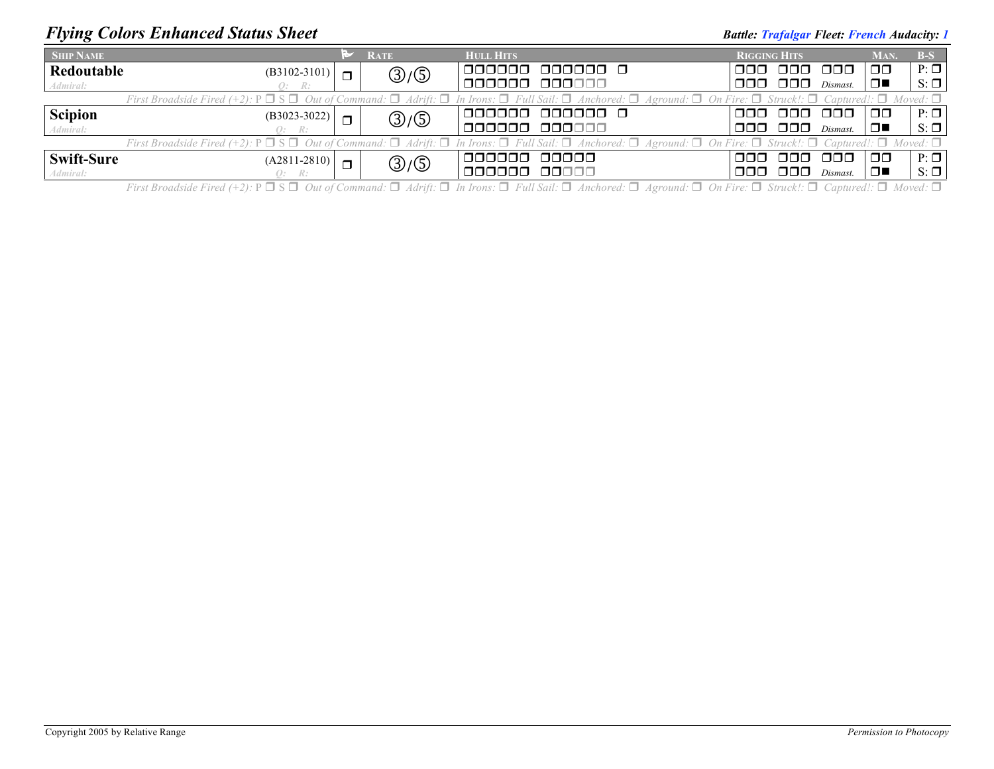### *Flying Colors Enhanced Status Sheet Battle: Trafalgar Fleet: French Audacity: 1*

| <b>SHIP NAME</b>                                                                                                                                                                                                      |                |                | <b>RATE</b> | <b>HULL HITS</b>         | <b>RIGGING HITS</b> |              |          | MAN.   | <b>B-S</b> |
|-----------------------------------------------------------------------------------------------------------------------------------------------------------------------------------------------------------------------|----------------|----------------|-------------|--------------------------|---------------------|--------------|----------|--------|------------|
| Redoutable                                                                                                                                                                                                            | $(B3102-3101)$ | $\blacksquare$ | ③/⑤         | I OOOOOO                 | nnn.                | 000 000      |          | ⊓⊓     | $P: \Box$  |
| Admiral:                                                                                                                                                                                                              | Q: R:          |                |             | 000000 000000            | 000-                | 000.         | Dismast. | $\Box$ | $S: \Box$  |
| First Broadside Fired (+2): $P \Box S \Box$ Out of Command: $\Box$ Adrift: $\Box$ In Irons: $\Box$ Full Sail: $\Box$ Anchored: $\Box$ Aground: $\Box$ On Fire: $\Box$ Struck!: $\Box$ Captured!: $\Box$ Moved: $\Box$ |                |                |             |                          |                     |              |          |        |            |
| <b>Scipion</b>                                                                                                                                                                                                        | $(B3023-3022)$ | $\blacksquare$ | ③/⑤         | 1000000 000000 O         |                     | 'aao aao aao |          | OO     | $P: \Box$  |
| Admiral:                                                                                                                                                                                                              | Q: R:          |                |             | 000000 000000            |                     | 000 000      | Dismast. | ▁▁▁    | $S: \Box$  |
| First Broadside Fired (+2): $P \Box S \Box$ Out of Command: $\Box$ Adrift: $\Box$ In Irons: $\Box$ Full Sail: $\Box$ Anchored: $\Box$ Aground: $\Box$ On Fire: $\Box$ Struck!: $\Box$ Captured!: $\Box$ Moved: $\Box$ |                |                |             |                          |                     |              |          |        |            |
| <b>Swift-Sure</b>                                                                                                                                                                                                     | $(A2811-2810)$ | $\Box$         | ③/⑤         | 1000000 00000            | ההה ממם ממם!        |              |          | ⊓⊓     | $P: \Box$  |
| Admiral:                                                                                                                                                                                                              | Q: R:          |                |             | <u>nanana i</u><br>00000 | OOO -               | - 000 -      | Dismast. | □■     | $S: \Box$  |

First Broadside Fired (+2):  $P \Box S \Box$  Out of Command:  $\Box$  Adrift:  $\Box$  In Irons:  $\Box$  Full Sail:  $\Box$  Anchored:  $\Box$  Aground:  $\Box$  On Fire:  $\Box$  Struck!:  $\Box$  Captured!:  $\Box$  Moved:  $\Box$